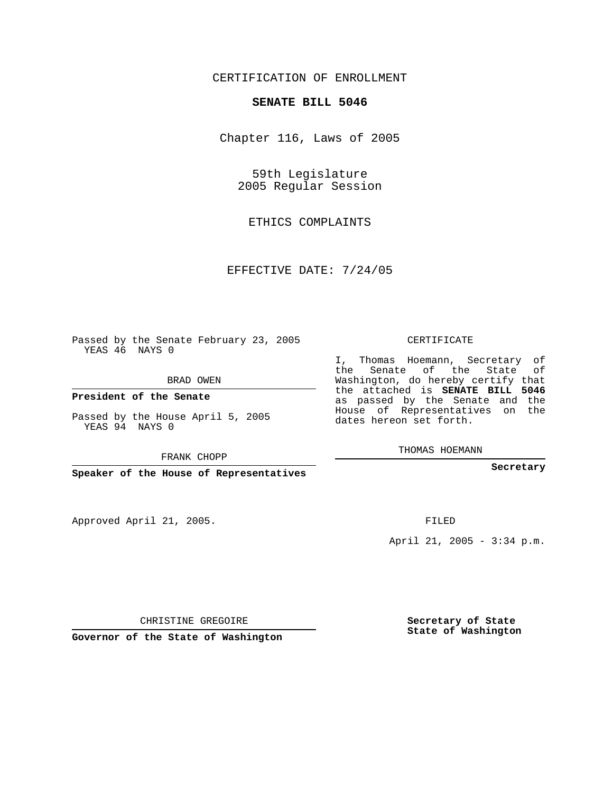## CERTIFICATION OF ENROLLMENT

## **SENATE BILL 5046**

Chapter 116, Laws of 2005

59th Legislature 2005 Regular Session

ETHICS COMPLAINTS

EFFECTIVE DATE: 7/24/05

Passed by the Senate February 23, 2005 YEAS 46 NAYS 0

BRAD OWEN

**President of the Senate**

Passed by the House April 5, 2005 YEAS 94 NAYS 0

FRANK CHOPP

**Speaker of the House of Representatives**

Approved April 21, 2005.

CERTIFICATE

I, Thomas Hoemann, Secretary of the Senate of the State of Washington, do hereby certify that the attached is **SENATE BILL 5046** as passed by the Senate and the House of Representatives on the dates hereon set forth.

THOMAS HOEMANN

**Secretary**

FILED

April 21, 2005 - 3:34 p.m.

CHRISTINE GREGOIRE

**Governor of the State of Washington**

**Secretary of State State of Washington**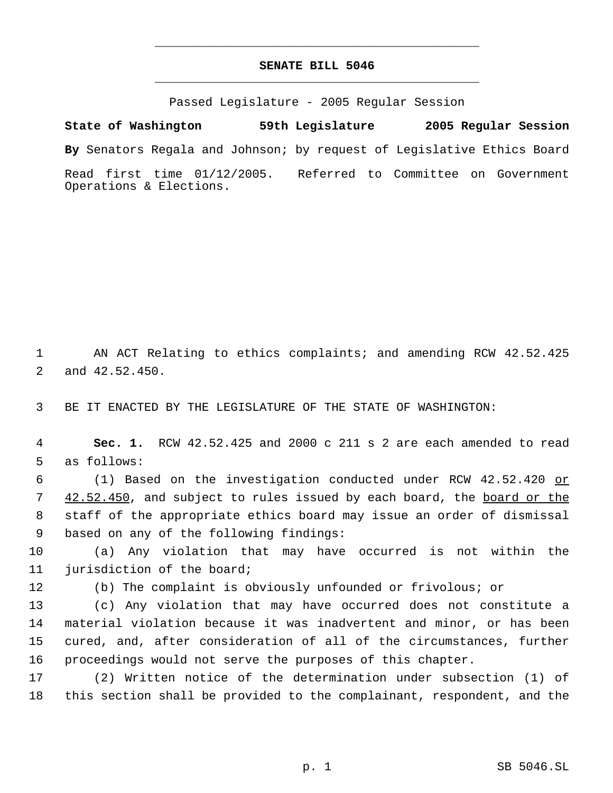## **SENATE BILL 5046** \_\_\_\_\_\_\_\_\_\_\_\_\_\_\_\_\_\_\_\_\_\_\_\_\_\_\_\_\_\_\_\_\_\_\_\_\_\_\_\_\_\_\_\_\_

\_\_\_\_\_\_\_\_\_\_\_\_\_\_\_\_\_\_\_\_\_\_\_\_\_\_\_\_\_\_\_\_\_\_\_\_\_\_\_\_\_\_\_\_\_

Passed Legislature - 2005 Regular Session

**State of Washington 59th Legislature 2005 Regular Session By** Senators Regala and Johnson; by request of Legislative Ethics Board Read first time 01/12/2005. Referred to Committee on Government Operations & Elections.

 AN ACT Relating to ethics complaints; and amending RCW 42.52.425 and 42.52.450.

BE IT ENACTED BY THE LEGISLATURE OF THE STATE OF WASHINGTON:

 **Sec. 1.** RCW 42.52.425 and 2000 c 211 s 2 are each amended to read as follows:

 (1) Based on the investigation conducted under RCW 42.52.420 or 7 42.52.450, and subject to rules issued by each board, the board or the staff of the appropriate ethics board may issue an order of dismissal based on any of the following findings:

 (a) Any violation that may have occurred is not within the jurisdiction of the board;

(b) The complaint is obviously unfounded or frivolous; or

 (c) Any violation that may have occurred does not constitute a material violation because it was inadvertent and minor, or has been cured, and, after consideration of all of the circumstances, further proceedings would not serve the purposes of this chapter.

 (2) Written notice of the determination under subsection (1) of this section shall be provided to the complainant, respondent, and the